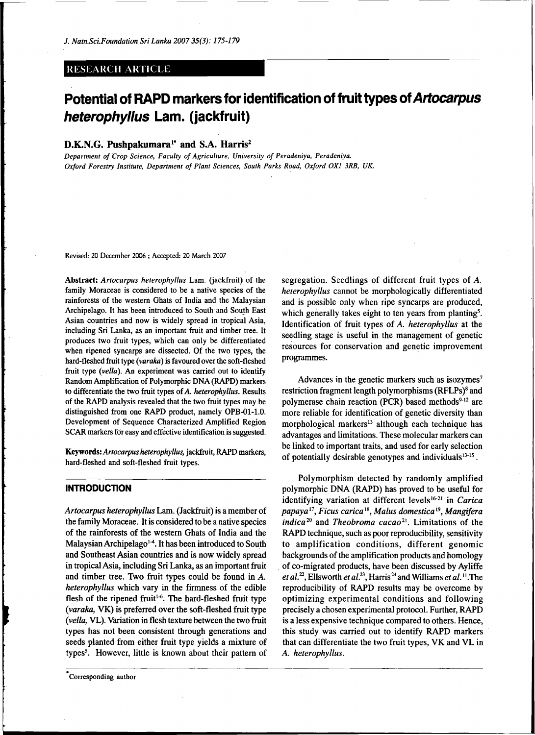# RESEARCH ARTICLE

# **Potential of RAPD markers for identification of fruit types** *of Artocarpus heterophyllus* **Lam. (jackfruit)**

## **D.K.N.G. Pushpakumara<sup>1</sup> \* and S.A. Harris<sup>2</sup>**

*Department of Crop Science, Faculty of Agriculture, University of Peradeniya, Peradeniya. Oxford Forestry Institute, Department of Plant Sciences, South Parks Road, Oxford OX1 3RB, UK.* 

**Revised: 20 December 2006 ; Accepted: 20 March 2007** 

**Abstract:** *Artocarpus heterophyllus* Lam. (jackfruit) of the family Moraceae is considered to be a native species of the rainforests of the western Ghats of India and the Malaysian Archipelago. It has been introduced to South and South East Asian countries and now is widely spread in tropical Asia, including Sri Lanka, as an important fruit and timber tree. It produces two fruit types, which can only be differentiated when ripened syncarps are dissected. Of the two types, the hard-fleshed fruit type *(yaraka)* is favoured over the soft-fleshed fruit type *(vella).* An experiment was carried out to identify Random Amplification of Polymorphic DNA (RAPD) markers to differentiate the two fruit types of **A.** *heterophyllus.* Results of the RAPD analysis revealed that the two fruit types may be distinguished from one RAPD product, namely OPB**-01-1.0.**  Development of Sequence Characterized Amplified Region SCAR markers for easy and effective identification is suggested.

**Keywords:** *Artocarpus heterophyllus,* jackfruit, RAPD markers, hard-fleshed and soft-fleshed fruit types.

#### **INTRODUCTION**

*Artocarpus heterophyllus* Lam. (Jackfruit) is a member of the family Moraceae. It is considered to be a native species of the rainforests of the western Ghats of India and the Malaysian Archipelago<sup>14</sup>. It has been introduced to South and Southeast Asian countries and is now widely spread in tropical Asia, including Sri Lanka, as an important fruit and timber tree. Two fruit types could be found in *A. heterophyllus* which vary in the firmness of the edible flesh of the ripened fruit<sup>1-6</sup>. The hard-fleshed fruit type *(yaraka,* VK) is preferred over the soft-fleshed fruit type *(vella,* VL). Variation in flesh texture between the two fruit types has not been consistent through generations and seeds planted from either fruit type yields a mixture of types<sup>5</sup>. However, little is known about their pattern of segregation. Seedlings of different fruit types of *A. heterophyllus* cannot be morphologically differentiated and is possible only when ripe syncarps are produced, which generally takes eight to ten years from planting<sup>5</sup>. Identification of fruit types of *A. heterophyllus* at the seedling stage is useful in the management of genetic resources for conservation and genetic improvement programmes.

Advances in the genetic markers such as isozymes<sup>7</sup> restriction fragment length polymorphisms (RFLPs)<sup>8</sup> and polymerase chain reaction (PCR) based methods<sup>9-12</sup> are more reliable for identification of genetic diversity than morphological markers<sup>13</sup> although each technique has advantages and limitations. These molecular markers can be linked to important traits, and used for early selection of potentially desirable genotypes and individuals<sup>13-15</sup>.

Polymorphism detected by randomly amplified polymorphic DNA (RAPD) has proved to be useful for identifying variation at different levels<sup>16-21</sup> in *Carica papaya 17 , Ficus caricals , Malus domestical, Mangifera indica™* and *Theobroma cacao 11 .* Limitations of the RAPD technique, such as poor reproducibility, sensitivity to amplification conditions, different genomic backgrounds of the amplification products and homology of co-migrated products, have been discussed by Ayliffe *et al.*<sup>22</sup>, Ellsworth *et al.*<sup>23</sup>, Harris<sup>24</sup> and Williams *et al.*<sup>11</sup>. The reproducibility of RAPD results may be overcome by optimizing experimental conditions and following precisely a chosen experimental protocol. Further, RAPD is a less expensive technique compared to others. Hence, this study was carried out to identify RAPD markers that can differentiate the two fruit types, VK and VL in *A. heterophyllus.*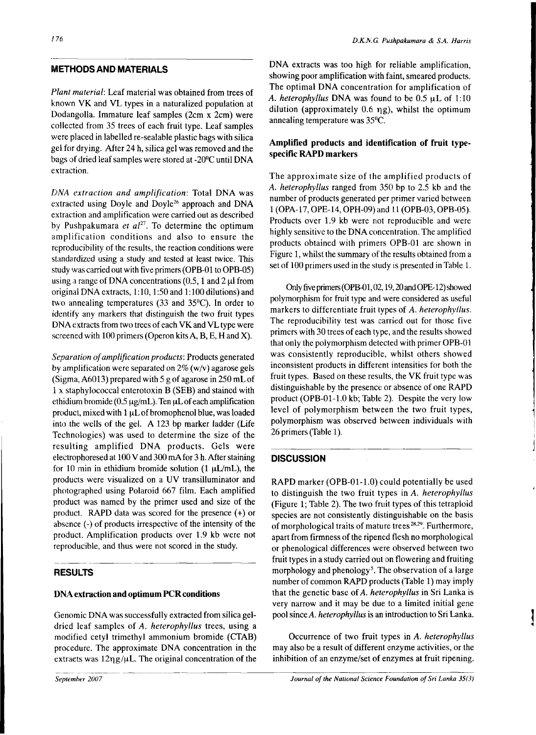## **METHODS AND MATERIALS**

*Plant material:* Leaf material was obtained from trees of known VK and VL types in a naturalized population at Dodangolla. Immature leaf samples (2cm x 2cm) were collected from 35 trees of each fruit type. Leaf samples were placed in labelled re-sealable plastic bags with silica gel for drying. After 24 h, silica gel was removed and the bags of dried leaf samples were stored at -20°C until DNA extraction.

*DNA extraction and amplification:* Total DNA was extracted using Doyle and Doyle<sup>26</sup> approach and DNA extraction and amplification were carried out as described by Pushpakumara *et al<sup>21</sup> .* To determine the optimum amplification conditions and also to ensure the reproducibility of the results, the reaction conditions were standardized using a study and tested at least twice. This study was carried out with five primers (OPB-01 to OPB-05) using a range of DNA concentrations  $(0.5, 1 \text{ and } 2 \mu)$  from original DNA extracts, 1:10,1:50 and 1:100 dilutions) and two annealing temperatures (33 and 35°C). In order to identify any markers that distinguish the two fruit types DNA extracts from two trees of each VK and VL type were screened with 100 primers (Operon kits A, B, E, H and X).

*Separation of amplification products:* Products generated by amplification were separated on  $2\%$  (w/v) agarose gels (Sigma, A6013) prepared with 5 g of agarose in 250 mLof 1 x staphylococcal enterotoxin B (SEB) and stained with ethidium bromide ( $0.5 \mu g/mL$ ). Ten  $\mu L$  of each amplification product, mixed with 1 µL of bromophenol blue, was loaded into the wells of the gel. A 123 bp marker ladder (Life Technologies) was used to determine the size of the resulting amplified DNA products. Gels were electrophoresed at 100 V and 300 mA for 3 h. After staining for 10 min in ethidium bromide solution (1  $\mu$ L/mL), the products were visualized on a UV transilluminator and photographed using Polaroid 667 film. Each amplified product was named by the primer used and size of the product. RAPD data was scored for the presence (+) or absence (-) of products irrespective of the intensity of the product. Amplification products over 1.9 kb were not reproducible, and thus were not scored in the study.

# **RESULTS**

#### **DNA extraction and optimum PCR conditions**

Genomic DNA was successfully extracted from silica geldried leaf samples of *A. heterophyllus* trees, using a modified cetyl trimethyl ammonium bromide (CTAB) procedure. The approximate DNA concentration in the extracts was  $12\eta g/\mu L$ . The original concentration of the DNA extracts was too high for reliable amplification, showing poor amplification with faint, smeared products. The optimal DNA concentration for amplification of A. heterophyllus DNA was found to be 0.5  $\mu$ L of 1:10 dilution (approximately  $0.6$   $\eta$ g), whilst the optimum annealing temperature was 35°C.

# **Amplified products and identification of fruit typespecific RAPD markers**

The approximate size of the amplified products of *A. heterophyllus* ranged from 350 bp to 2.5 kb and the number of products generated per primer varied between 1 (OPA-17, OPE-14, OPH-09) and 11 (OPB-03, OPB-05). Products over 1.9 kb were not reproducible and were highly sensitive to the DNA concentration. The amplified products obtained with primers OPB-01 are shown in Figure 1, whilst the summary of the results obtained from a set of 100 primers used in the study is presented in Table 1.

Only five primers (OPB-01,02,19,20 and OPE-12) showed polymorphism for fruit type and were considered as useful markers to differentiate fruit types of *A. heterophyllus.*  The reproducibility test was carried out for those five primers with 30 trees of each type, and the results showed that only the polymorphism detected with primer OPB-01 was consistently reproducible, whilst others showed inconsistent products in different intensities for both the fruit types. Based on these results, the VK fruit type was distinguishable by the presence or absence of one RAPD product (OPB-01-1.0 kb; Table 2). Despite the very low level of polymorphism between the two fruit types, polymorphism was observed between individuals with 26 primers (Table 1).

### **DISCUSSION**

RAPD marker (OPB-01-1.0) could potentially be used to distinguish the two fruit types in *A. heterophyllus*  (Figure 1; Table 2). The two fruit types of this tetraploid species are not consistently distinguishable on the basis of morphological traits of mature trees  $28,29$ . Furthermore, apart from firmness of the ripened flesh no morphological or phenological differences were observed between two fruit types in a study carried out on flowering and fruiting morphology and phenology<sup>5</sup>. The observation of a large number of common RAPD products (Table 1) may imply that the genetic base of *A. heterophyllus* in Sri Lanka is very narrow and it may be due to a limited initial gene pool since A. *heterophyllus* is an introduction to Sri Lanka.

Occurrence of two fruit types in *A. heterophyllus*  may also be a result of different enzyme activities, or the inhibition of an enzyme/set of enzymes at fruit ripening.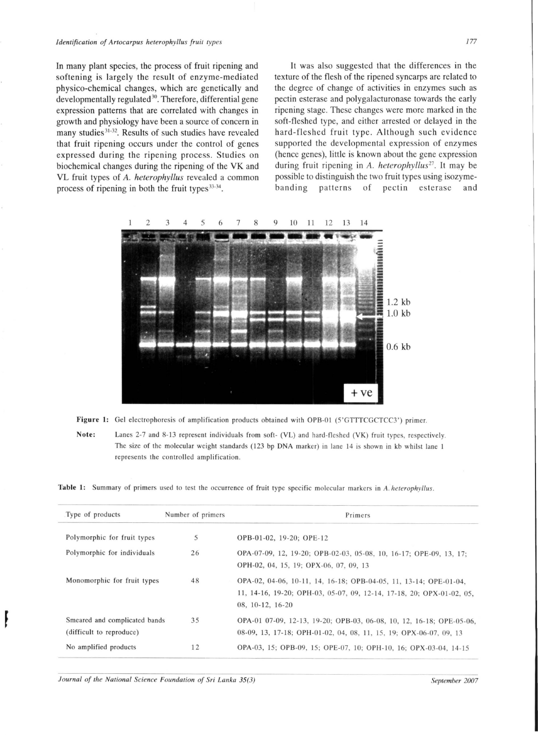In many plant species, the process of fruit ripening and softening is largely the result of enzyme-mediated physico-chemical changes, which are genetically and developmentally regulated<sup>30</sup>. Therefore, differential gene expression patterns that are correlated with changes in growth and physiology have been a source of concern in many studies<sup>31-32</sup>. Results of such studies have revealed that fruit ripening occurs under the control of genes expressed during the ripening process. Studies on biochemical changes during the ripening of the VK and VL fruit types of *A. heterophyllus* revealed a common process of ripening in both the fruit types<sup>33-34</sup>.

It was also suggested that the differences in the texture of the flesh of the ripened syncarps are related to the degree of change of activities in enzymes such as pectin esterase and polygalacturonase towards the early ripening stage. These changes were more marked in the soft-fleshed type, and either arrested or delayed in the hard-fleshed fruit type. Although such evidence supported the developmental expression of enzymes (hence genes), little is known about the gene expression during fruit ripening in *A. heterophyllus<sup>27</sup> .* It may be possible to distinguish the two fruit types using isozymebanding patterns of pectin esterase and





Note: Lanes 2-7 and 8-13 represent individuals from soft- (VL) and hard-fleshed (VK) fruit types, respectively. The size of the molecular weight standards (123 bp DNA marker) in lane 14 is shown in kb whilst lane 1 **represent s th e controlle d amplification .** 

Table 1: Summary of primers used to test the occurrence of fruit type specific molecular markers in A. heterophyllus.

| Type of products                                          | Number of primers | Primers                                                                                                                                                        |
|-----------------------------------------------------------|-------------------|----------------------------------------------------------------------------------------------------------------------------------------------------------------|
| Polymorphic for fruit types                               | 5                 | OPB-01-02, 19-20; OPE-12                                                                                                                                       |
| Polymorphic for individuals                               | 26                | OPA-07-09, 12, 19-20; OPB-02-03, 05-08, 10, 16-17; OPE-09, 13, 17;<br>OPH-02, 04, 15, 19; OPX-06, 07, 09, 13                                                   |
| Monomorphic for fruit types                               | 48                | OPA-02, 04-06, 10-11, 14, 16-18; OPB-04-05, 11, 13-14; OPE-01-04,<br>11, 14-16, 19-20; OPH-03, 05-07, 09, 12-14, 17-18, 20; OPX-01-02, 05,<br>08, 10-12, 16-20 |
| Smeared and complicated bands<br>(difficult to reproduce) | 35                | OPA-01 07-09, 12-13, 19-20; OPB-03, 06-08, 10, 12, 16-18; OPE-05-06,<br>08-09, 13, 17-18; OPH-01-02, 04, 08, 11, 15, 19; OPX-06-07, 09, 13                     |
| No amplified products                                     | 12                | OPA-03, 15; OPB-09, 15; OPE-07, 10; OPH-10, 16; OPX-03-04, 14-15                                                                                               |

*Journal of the National Science Foundation of Sri Lanka 35(3)* September 2007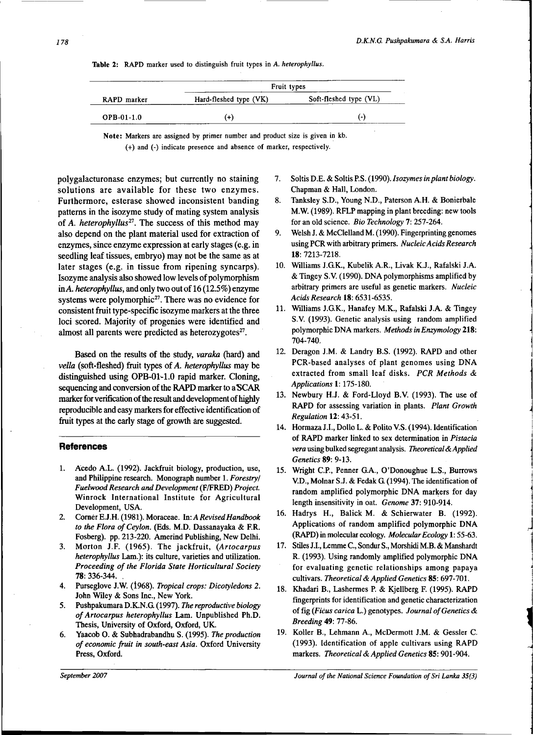|             | Fruit types            |                        |  |
|-------------|------------------------|------------------------|--|
| RAPD marker | Hard-fleshed type (VK) | Soft-fleshed type (VL) |  |
| OPB-01-1.0  | $+$                    | $(-)$                  |  |

**Table 2: RAPD marker used to distinguish fruit types in***<sup>A</sup> . heterophyllus.* 

**Note: Markers are assigned by primer number and product size is given in kb. (+) and (-) indicate presence and absence of marker, respectively.** 

polygalacturonase enzymes; but currently no staining solutions are available for these two enzymes. Furthermore, esterase showed inconsistent banding patterns in the isozyme study of mating system analysis of *A. heterophyllus<sup>21</sup> .* The success of this method may also depend on the plant material used for extraction of enzymes, since enzyme expression at early stages (e.g. in seedling leaf tissues, embryo) may not be the same as at later stages (e.g. in tissue from ripening syncarps). Isozyme analysis also showed low levels of polymorphism in A *heterophyllus,* and only two out of 16 (12.5%) enzyme systems were polymorphic<sup>27</sup>. There was no evidence for consistent fruit type-specific isozyme markers at the three loci scored. Majority of progenies were identified and almost all parents were predicted as heterozygotes $27$ .

Based on the results of the study, *varaka* (hard) and *vella* (soft-fleshed) fruit types of *A. heterophyllus* may be distinguished using OPB-01-1.0 rapid marker. Cloning, sequencing and conversion of the RAPD marker to aSCAR marker for verification of the result and development of highly reproducible and easy markers for effective identification of fruit types at the early stage of growth are suggested.

#### **References**

- 1. Acedo A.L. (1992). Jackfruit biology, production, use, and Philippine research. Monograph number 1. *Forestry/ Fuelwood Research and Development* (F/FRED) *Project.*  Winrock International Institute for Agricultural Development, USA.
- 2. Corner E.J.H. (1981). Moraceae. In: *A Revised Handbook to the Flora of Ceylon.* (Eds. M.D. Dassanayaka & F.R. Fosberg). pp. 213-220. Amerind Publishing, New Delhi.
- 3. Morton J.F. (1965). The jackfruit, *(Artocarpus heterophyllus* Lam.): its culture, varieties and utilization. *Proceeding of the Florida State Horticultural Society*  78:336-344. .
- 4. Purseglove J.W. (1968). *Tropical crops: Dicotyledons 2.*  John Wiley & Sons Inc., New York.
- 5. Pushpakumara D.K.N.G. (1997). *The reproductive biology of Artocarpus heterophyllus* Lam. Unpublished Ph.D. Thesis, University of Oxford, Oxford, UK.
- 6. Yaacob O. & Subhadrabandhu S . (1995). *The production of economic fruit in south-east Asia.* Oxford University Press, Oxford.
- 7. Soltis D.E. & Soltis P.S. (1990). *Isozymes in plant biology.*  Chapman & Hall, London.
- 8. Tanksley S.D., Young N.D., Paterson A.H. & Bonierbale M.W. (1989). RFLP mapping in plant breeding: new tools for an old science. *Bio Technology* 7: 257-264.
- 9. Welsh J. & McClelland M. (1990). Fingerprinting genomes using PCR with arbitrary primers. *Nucleic Acids Research*  18: 7213-7218.
- 10. Williams J.G.K., Kubelik A.R., Livak K.J., Rafalski J.A. & Tingey S.V. (1990). DNA polymorphisms amplified by arbitrary primers are useful as genetic markers. *Nucleic Acids Research* 18: 6531-6535.
- 11. Williams J.G.K., Hanafey M.K., Rafalski J.A. & Tingey S.V. (1993). Genetic analysis using random amplified polymorphic DNA markers. *Methods in Enzymology* 218: 704-740.
- 12. Deragon J.M. & Landry B.S. (1992). RAPD and other PCR-based analyses of plant genomes using DNA extracted from small leaf disks. *PCR Methods & Applications* 1:175-180.
- 13. Newbury H.J. & Ford-Lloyd B.V. (1993). The use of RAPD for assessing variation in plants. *Plant Growth Regulation* 12: 43-51.
- 14. Hormaza J.I., Dollo L. & Polito V.S. (1994). Identification of RAPD marker linked to sex determination in *Pistacia vera* using bulked segregant analysis. *Theoretical & Applied Genetics* 89: 9-13.
- 15. Wright C.P., Penner G.A., O'Donoughue L.S., Burrows V.D., Molnar S.J. & Fedak G (1994). The identification of random amplified polymorphic DNA markers for day length insensitivity in oat. *Genome* 37: 910-914.
- 16. Hadrys H., Balick M. & Schierwater B. (1992). Applications of random amplified polymorphic DNA (RAPD) in molecular ecology. *Molecular Ecology* 1:55-63.
- 17. Stiles J.I., Lemme C, Sondur S., Morshidi M.B. & Manshardt R. (1993). Using randomly amplified polymorphic DNA for evaluating genetic relationships among papaya cultivars. *Theoretical & Applied Genetics* 85: 697-701.
- 18. Khadari B., Lashermes P. & Kjellberg F. (1995). RAPD fingerprints for identification and genetic characterization of fig *(Ficus carica* L.) genotypes. *Journal of Genetics & Breeding* 49: 77-86.
- 19. Koller B., Lehmann A., McDermott J.M. & Gessler C. (1993). Identification of apple cultivars using RAPD markers. *Theoretical & Applied Genetics* 85: 901-904.

*Journal of the National Science Foundation of Sri Lanka 35(3)*